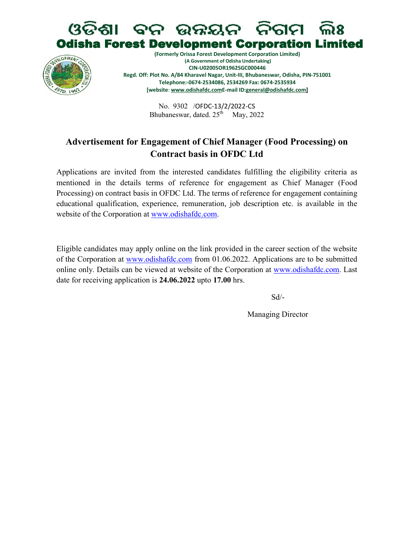# ବନ ଉନ୍ନୟନ ନିଗମ **Odisha Forest Development Corporation Limited**



(Formerly Orissa Forest Development Corporation Limited) (A Government of Odisha Undertaking) CIN-U02005OR1962SGC000446 Regd. Off: Plot No. A/84 Kharavel Nagar, Unit-III, Bhubaneswar, Odisha, PIN-751001 Telephone:-0674-2534086, 2534269 Fax: 0674-2535934 [website: www.odishafdc.comE-mail ID:general@odishafdc.com]

> No. 9302 /OFDC-13/2/2022-CS Bhubaneswar, dated.  $25<sup>th</sup>$  May, 2022

## Advertisement for Engagement of Chief Manager (Food Processing) on Contract basis in OFDC Ltd

Applications are invited from the interested candidates fulfilling the eligibility criteria as mentioned in the details terms of reference for engagement as Chief Manager (Food Processing) on contract basis in OFDC Ltd. The terms of reference for engagement containing educational qualification, experience, remuneration, job description etc. is available in the website of the Corporation at www.odishafdc.com.

Eligible candidates may apply online on the link provided in the career section of the website of the Corporation at www.odishafdc.com from 01.06.2022. Applications are to be submitted online only. Details can be viewed at website of the Corporation at www.odishafdc.com. Last date for receiving application is 24.06.2022 upto 17.00 hrs.

Sd/-

Managing Director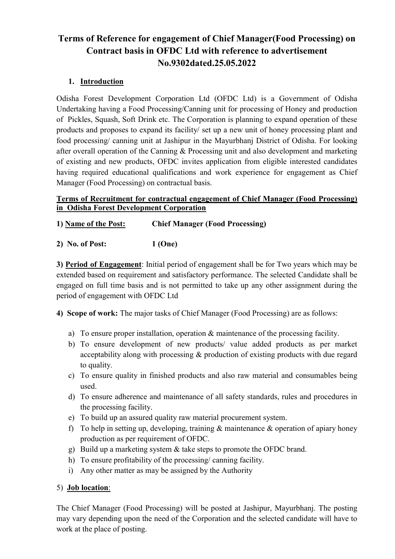# Terms of Reference for engagement of Chief Manager(Food Processing) on Contract basis in OFDC Ltd with reference to advertisement No.9302dated.25.05.2022

#### 1. Introduction

Odisha Forest Development Corporation Ltd (OFDC Ltd) is a Government of Odisha Undertaking having a Food Processing/Canning unit for processing of Honey and production of Pickles, Squash, Soft Drink etc. The Corporation is planning to expand operation of these products and proposes to expand its facility/ set up a new unit of honey processing plant and food processing/ canning unit at Jashipur in the Mayurbhanj District of Odisha. For looking after overall operation of the Canning & Processing unit and also development and marketing of existing and new products, OFDC invites application from eligible interested candidates having required educational qualifications and work experience for engagement as Chief Manager (Food Processing) on contractual basis.

#### Terms of Recruitment for contractual engagement of Chief Manager (Food Processing) in Odisha Forest Development Corporation

1) Name of the Post: Chief Manager (Food Processing)

2) No. of Post: 1 (One)

3) Period of Engagement: Initial period of engagement shall be for Two years which may be extended based on requirement and satisfactory performance. The selected Candidate shall be engaged on full time basis and is not permitted to take up any other assignment during the period of engagement with OFDC Ltd

4) Scope of work: The major tasks of Chief Manager (Food Processing) are as follows:

- a) To ensure proper installation, operation & maintenance of the processing facility.
- b) To ensure development of new products/ value added products as per market acceptability along with processing & production of existing products with due regard to quality.
- c) To ensure quality in finished products and also raw material and consumables being used.
- d) To ensure adherence and maintenance of all safety standards, rules and procedures in the processing facility.
- e) To build up an assured quality raw material procurement system.
- f) To help in setting up, developing, training  $\&$  maintenance  $\&$  operation of apiary honey production as per requirement of OFDC.
- g) Build up a marketing system & take steps to promote the OFDC brand.
- h) To ensure profitability of the processing/ canning facility.
- i) Any other matter as may be assigned by the Authority

#### 5) Job location:

The Chief Manager (Food Processing) will be posted at Jashipur, Mayurbhanj. The posting may vary depending upon the need of the Corporation and the selected candidate will have to work at the place of posting.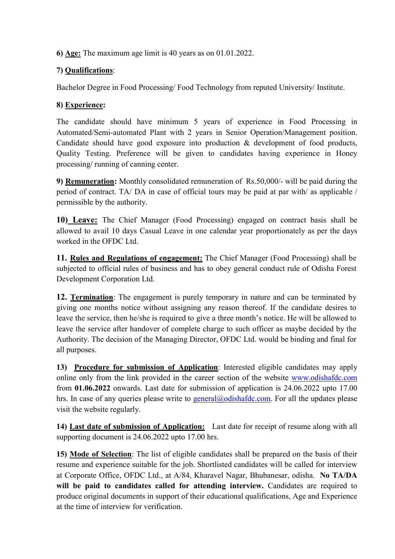6) Age: The maximum age limit is 40 years as on 01.01.2022.

#### 7) Qualifications:

Bachelor Degree in Food Processing/ Food Technology from reputed University/ Institute.

## 8) Experience:

The candidate should have minimum 5 years of experience in Food Processing in Automated/Semi-automated Plant with 2 years in Senior Operation/Management position. Candidate should have good exposure into production & development of food products, Quality Testing. Preference will be given to candidates having experience in Honey processing/ running of canning center.

9) Remuneration: Monthly consolidated remuneration of Rs.50,000/- will be paid during the period of contract. TA/ DA in case of official tours may be paid at par with/ as applicable / permissible by the authority.

10) Leave: The Chief Manager (Food Processing) engaged on contract basis shall be allowed to avail 10 days Casual Leave in one calendar year proportionately as per the days worked in the OFDC Ltd.

11. Rules and Regulations of engagement: The Chief Manager (Food Processing) shall be subjected to official rules of business and has to obey general conduct rule of Odisha Forest Development Corporation Ltd.

12. Termination: The engagement is purely temporary in nature and can be terminated by giving one months notice without assigning any reason thereof. If the candidate desires to leave the service, then he/she is required to give a three month's notice. He will be allowed to leave the service after handover of complete charge to such officer as maybe decided by the Authority. The decision of the Managing Director, OFDC Ltd. would be binding and final for all purposes.

13) Procedure for submission of Application: Interested eligible candidates may apply online only from the link provided in the career section of the website www.odishafdc.com from 01.06.2022 onwards. Last date for submission of application is 24.06.2022 upto 17.00 hrs. In case of any queries please write to general@odishafdc.com. For all the updates please visit the website regularly.

14) Last date of submission of Application: Last date for receipt of resume along with all supporting document is 24.06.2022 upto 17.00 hrs.

15) Mode of Selection: The list of eligible candidates shall be prepared on the basis of their resume and experience suitable for the job. Shortlisted candidates will be called for interview at Corporate Office, OFDC Ltd., at A/84, Kharavel Nagar, Bhubanesar, odisha. No TA/DA will be paid to candidates called for attending interview. Candidates are required to produce original documents in support of their educational qualifications, Age and Experience at the time of interview for verification.